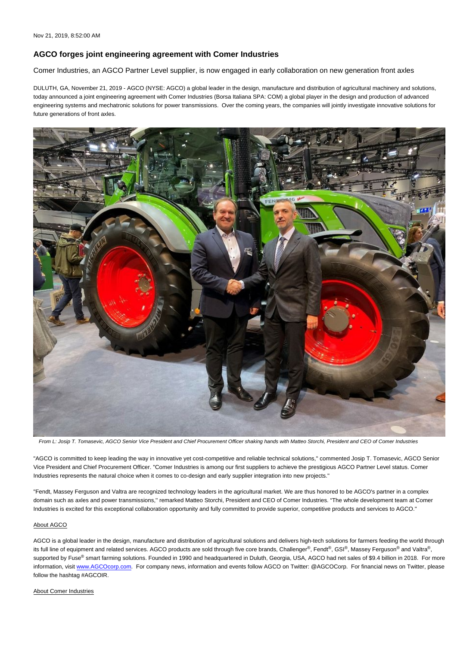## **AGCO forges joint engineering agreement with Comer Industries**

Comer Industries, an AGCO Partner Level supplier, is now engaged in early collaboration on new generation front axles

DULUTH, GA, November 21, 2019 - AGCO (NYSE: AGCO) a global leader in the design, manufacture and distribution of agricultural machinery and solutions, today announced a joint engineering agreement with Comer Industries (Borsa Italiana SPA: COM) a global player in the design and production of advanced engineering systems and mechatronic solutions for power transmissions. Over the coming years, the companies will jointly investigate innovative solutions for future generations of front axles.



From L: Josip T. Tomasevic, AGCO Senior Vice President and Chief Procurement Officer shaking hands with Matteo Storchi, President and CEO of Comer Industries

"AGCO is committed to keep leading the way in innovative yet cost-competitive and reliable technical solutions,'' commented Josip T. Tomasevic, AGCO Senior Vice President and Chief Procurement Officer. "Comer Industries is among our first suppliers to achieve the prestigious AGCO Partner Level status. Comer Industries represents the natural choice when it comes to co-design and early supplier integration into new projects.''

"Fendt, Massey Ferguson and Valtra are recognized technology leaders in the agricultural market. We are thus honored to be AGCO's partner in a complex domain such as axles and power transmissions,'' remarked Matteo Storchi, President and CEO of Comer Industries. "The whole development team at Comer Industries is excited for this exceptional collaboration opportunity and fully committed to provide superior, competitive products and services to AGCO.''

## About AGCO

AGCO is a global leader in the design, manufacture and distribution of agricultural solutions and delivers high-tech solutions for farmers feeding the world through its full line of equipment and related services. AGCO products are sold through five core brands, Challenger®, Fendt®, GSI®, Massey Ferguson® and Valtra®, supported by Fuse<sup>®</sup> smart farming solutions. Founded in 1990 and headquartered in Duluth, Georgia, USA, AGCO had net sales of \$9.4 billion in 2018. For more information, visit [www.AGCOcorp.com](http://www.agcocorp.com/). For company news, information and events follow AGCO on Twitter: @AGCOCorp. For financial news on Twitter, please follow the hashtag #AGCOIR.

## About Comer Industries